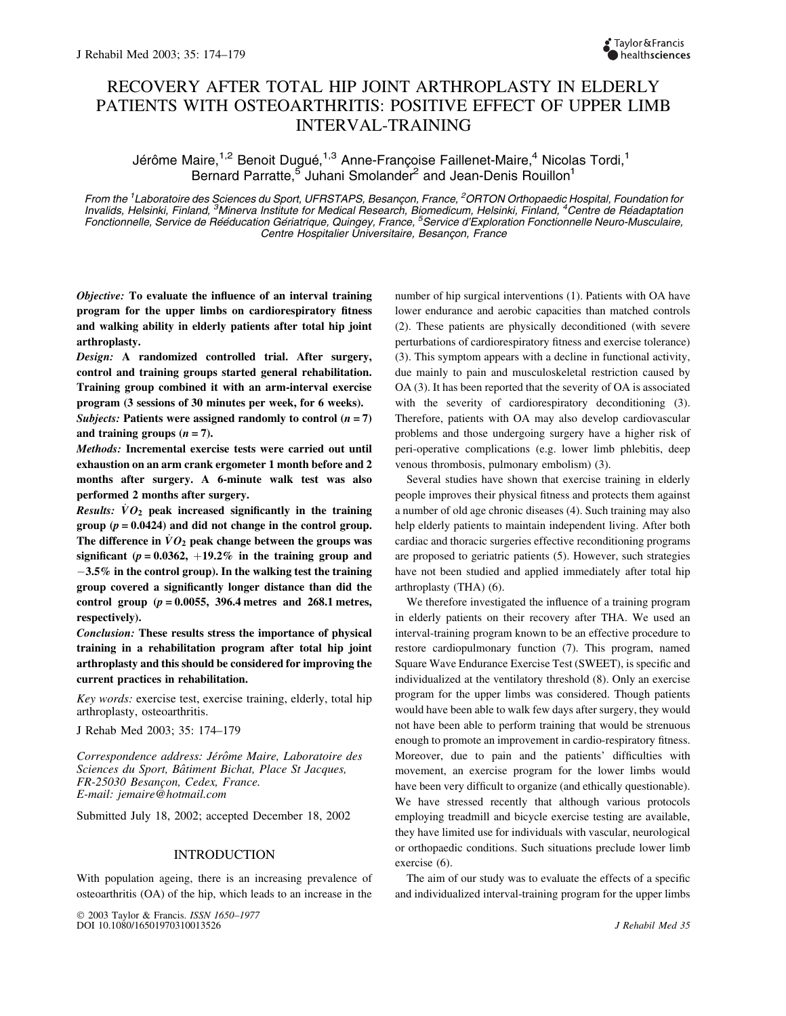# RECOVERY AFTER TOTAL HIP JOINT ARTHROPLASTY IN ELDERLY PATIENTS WITH OSTEOARTHRITIS: POSITIVE EFFECT OF UPPER LIMB INTERVAL-TRAINING

Jérôme Maire,<sup>1,2</sup> Benoit Dugué,<sup>1,3</sup> Anne-Françoise Faillenet-Maire,<sup>4</sup> Nicolas Tordi,<sup>1</sup> Bernard Parratte,<sup>5</sup> Juhani Smolander<sup>2</sup> and Jean-Denis Rouillon<sup>1</sup>

From the <sup>1</sup> Laboratoire des Sciences du Sport, UFRSTAPS, Besançon, France, <sup>2</sup>ORTON Orthopaedic Hospital, Foundation for Invalids, Helsinki, Finland, <sup>3</sup>Minerva Institute for Medical Research, Biomedicum, Helsinki, Finland, <sup>4</sup>Centre de Réadaptation Fonctionnelle, Service de Rééducation Gériatrique, Quingey, France, <sup>5</sup>Service d'Exploration Fonctionnelle Neuro-Musculaire, Centre Hospitalier Universitaire, Besançon, France

*Objective:* **To evaluate the influence of an interval training program for the upper limbs on cardiorespiratory fitness and walking ability in elderly patients after total hip joint arthroplasty.**

*Design:* **A randomized controlled trial. After surgery, control and training groups started general rehabilitation. Training group combined it with an arm-interval exercise program (3 sessions of 30 minutes per week, for 6 weeks).**

*Subjects:* Patients were assigned randomly to control  $(n = 7)$ and training groups  $(n = 7)$ .

*Methods:* **Incremental exercise tests were carried out until exhaustion on an arm crank ergometer 1 month before and 2 months after surgery. A 6-minute walk test was also performed 2 months after surgery.**

*Results:*  $\dot{V}O_2$  peak increased significantly in the training **group**  $(p = 0.0424)$  and did not change in the control group. The difference in  $\dot{V}O_2$  peak change between the groups was **significant** ( $p = 0.0362$ ,  $+19.2\%$  in the training group and -**3.5% in the control group). In the walking test the training group covered a significantly longer distance than did the control group (***p* **= 0.0055, 396.4 metres and 268.1 metres, respectively).**

*Conclusion:* **These results stress the importance of physical training in a rehabilitation program after total hip joint arthroplasty and this should be considered for improving the current practices in rehabilitation.**

*Key words:* exercise test, exercise training, elderly, total hip arthroplasty, osteoarthritis.

J Rehab Med 2003; 35: 174–179

Correspondence address: Jérôme Maire, Laboratoire des *Sciences du Sport, Baˆtiment Bichat, Place St Jacques, FR-25030 Besanc¸on, Cedex, France. E-mail: jemaire@hotmail.com*

Submitted July 18, 2002; accepted December 18, 2002

# INTRODUCTION

With population ageing, there is an increasing prevalence of osteoarthritis (OA) of the hip, which leads to an increase in the

 2003 Taylor & Francis. *ISSN 1650–1977* DOI 10.1080/16501970310013526 *J Rehabil Med 35*

number of hip surgical interventions (1). Patients with OA have lower endurance and aerobic capacities than matched controls (2). These patients are physically deconditioned (with severe perturbations of cardiorespiratory fitness and exercise tolerance) (3). This symptom appears with a decline in functional activity, due mainly to pain and musculoskeletal restriction caused by OA (3). It has been reported that the severity of OA is associated with the severity of cardiorespiratory deconditioning (3). Therefore, patients with OA may also develop cardiovascular problems and those undergoing surgery have a higher risk of peri-operative complications (e.g. lower limb phlebitis, deep venous thrombosis, pulmonary embolism) (3).

Several studies have shown that exercise training in elderly people improves their physical fitness and protects them against a number of old age chronic diseases (4). Such training may also help elderly patients to maintain independent living. After both cardiac and thoracic surgeries effective reconditioning programs are proposed to geriatric patients (5). However, such strategies have not been studied and applied immediately after total hip arthroplasty (THA) (6).

We therefore investigated the influence of a training program in elderly patients on their recovery after THA. We used an interval-training program known to be an effective procedure to restore cardiopulmonary function (7). This program, named Square Wave Endurance Exercise Test (SWEET), is specific and individualized at the ventilatory threshold (8). Only an exercise program for the upper limbs was considered. Though patients would have been able to walk few days after surgery, they would not have been able to perform training that would be strenuous enough to promote an improvement in cardio-respiratory fitness. Moreover, due to pain and the patients' difficulties with movement, an exercise program for the lower limbs would have been very difficult to organize (and ethically questionable). We have stressed recently that although various protocols employing treadmill and bicycle exercise testing are available, they have limited use for individuals with vascular, neurological or orthopaedic conditions. Such situations preclude lower limb exercise (6).

The aim of our study was to evaluate the effects of a specific and individualized interval-training program for the upper limbs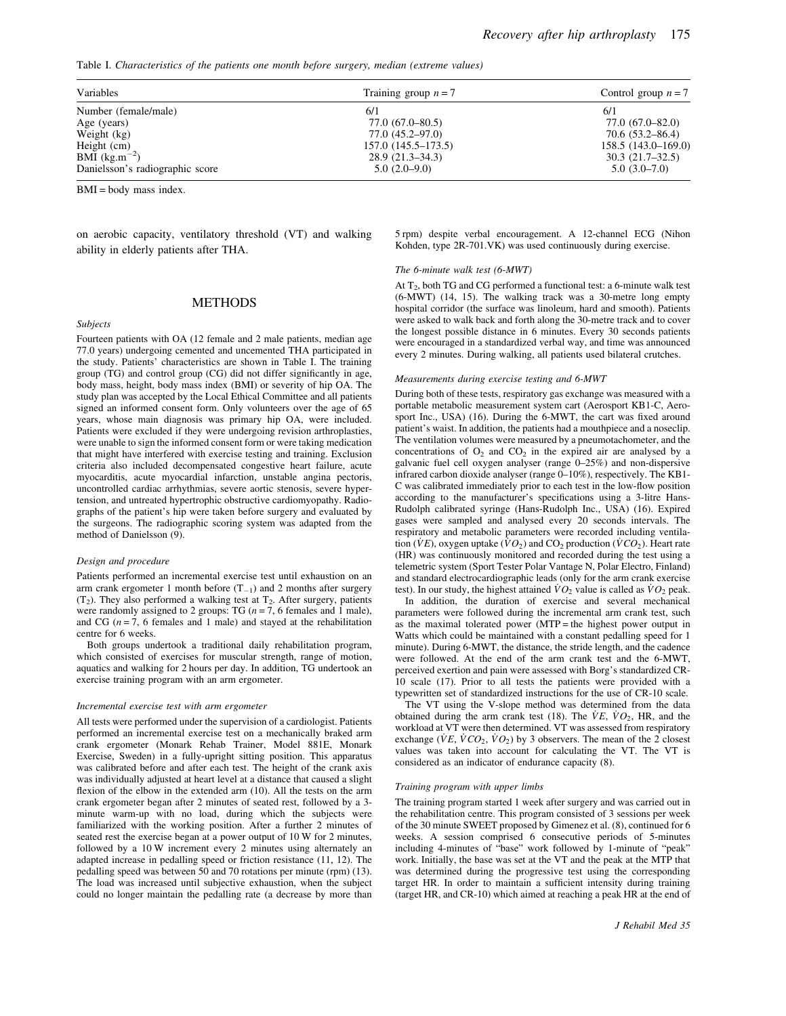Table I. *Characteristics of the patients one month before surgery, median (extreme values)*

| Variables                       | Training group $n = 7$ | Control group $n = 7$ |  |
|---------------------------------|------------------------|-----------------------|--|
| Number (female/male)            | 6/1                    | 6/1                   |  |
| Age (years)                     | $77.0(67.0-80.5)$      | $77.0(67.0 - 82.0)$   |  |
| Weight (kg)                     | 77.0 (45.2–97.0)       | $70.6(53.2 - 86.4)$   |  |
| Height (cm)                     | $157.0(145.5 - 173.5)$ | 158.5 (143.0–169.0)   |  |
| BMI $(kg.m^{-2})$               | $28.9(21.3-34.3)$      | $30.3(21.7-32.5)$     |  |
| Danielsson's radiographic score | $5.0(2.0-9.0)$         | $5.0(3.0-7.0)$        |  |

BMI = body mass index.

on aerobic capacity, ventilatory threshold (VT) and walking ability in elderly patients after THA.

5 rpm) despite verbal encouragement. A 12-channel ECG (Nihon Kohden, type 2R-701.VK) was used continuously during exercise.

#### *The 6-minute walk test (6-MWT)*

At T<sub>2</sub>, both TG and CG performed a functional test: a 6-minute walk test (6-MWT) (14, 15). The walking track was a 30-metre long empty hospital corridor (the surface was linoleum, hard and smooth). Patients were asked to walk back and forth along the 30-metre track and to cover the longest possible distance in 6 minutes. Every 30 seconds patients were encouraged in a standardized verbal way, and time was announced every 2 minutes. During walking, all patients used bilateral crutches.

# *Measurements during exercise testing and 6-MWT*

During both of these tests, respiratory gas exchange was measured with a portable metabolic measurement system cart (Aerosport KB1-C, Aerosport Inc., USA) (16). During the 6-MWT, the cart was fixed around patient's waist. In addition, the patients had a mouthpiece and a noseclip. The ventilation volumes were measured by a pneumotachometer, and the concentrations of  $O_2$  and  $CO_2$  in the expired air are analysed by a galvanic fuel cell oxygen analyser (range 0–25%) and non-dispersive infrared carbon dioxide analyser (range 0–10%), respectively. The KB1- C was calibrated immediately prior to each test in the low-flow position according to the manufacturer's specifications using a 3-litre Hans-Rudolph calibrated syringe (Hans-Rudolph Inc., USA) (16). Expired gases were sampled and analysed every 20 seconds intervals. The respiratory and metabolic parameters were recorded including ventilation ( $VE$ ), oxygen uptake ( $VO_2$ ) and  $CO_2$  production ( $VCO_2$ ). Heart rate (HR) was continuously monitored and recorded during the test using a telemetric system (Sport Tester Polar Vantage N, Polar Electro, Finland) and standard electrocardiographic leads (only for the arm crank exercise test). In our study, the highest attained  $\overline{V}O_2$  value is called as  $\overline{V}O_2$  peak.

In addition, the duration of exercise and several mechanical parameters were followed during the incremental arm crank test, such as the maximal tolerated power (MTP = the highest power output in Watts which could be maintained with a constant pedalling speed for 1 minute). During 6-MWT, the distance, the stride length, and the cadence were followed. At the end of the arm crank test and the 6-MWT, perceived exertion and pain were assessed with Borg's standardized CR-10 scale (17). Prior to all tests the patients were provided with a typewritten set of standardized instructions for the use of CR-10 scale.

The VT using the V-slope method was determined from the data obtained during the arm crank test (18). The  $VE$ ,  $VO_2$ , HR, and the workload at VT were then determined. VT was assessed from respiratory exchange  $(VE, VCO<sub>2</sub>, VO<sub>2</sub>)$  by 3 observers. The mean of the 2 closest values was taken into account for calculating the VT. The VT is considered as an indicator of endurance capacity (8).

#### *Training program with upper limbs*

The training program started 1 week after surgery and was carried out in the rehabilitation centre. This program consisted of 3 sessions per week of the 30 minute SWEET proposed by Gimenez et al. (8), continued for 6 weeks. A session comprised 6 consecutive periods of 5-minutes including 4-minutes of "base" work followed by 1-minute of "peak" work. Initially, the base was set at the VT and the peak at the MTP that was determined during the progressive test using the corresponding target HR. In order to maintain a sufficient intensity during training (target HR, and CR-10) which aimed at reaching a peak HR at the end of

# METHODS

## *Subjects*

Fourteen patients with OA (12 female and 2 male patients, median age 77.0 years) undergoing cemented and uncemented THA participated in the study. Patients' characteristics are shown in Table I. The training group (TG) and control group (CG) did not differ significantly in age, body mass, height, body mass index (BMI) or severity of hip OA. The study plan was accepted by the Local Ethical Committee and all patients signed an informed consent form. Only volunteers over the age of 65 years, whose main diagnosis was primary hip OA, were included. Patients were excluded if they were undergoing revision arthroplasties, were unable to sign the informed consent form or were taking medication that might have interfered with exercise testing and training. Exclusion criteria also included decompensated congestive heart failure, acute myocarditis, acute myocardial infarction, unstable angina pectoris, uncontrolled cardiac arrhythmias, severe aortic stenosis, severe hypertension, and untreated hypertrophic obstructive cardiomyopathy. Radiographs of the patient's hip were taken before surgery and evaluated by the surgeons. The radiographic scoring system was adapted from the method of Danielsson (9).

#### *Design and procedure*

Patients performed an incremental exercise test until exhaustion on an arm crank ergometer 1 month before  $(T_{-1})$  and 2 months after surgery  $(T_2)$ . They also performed a walking test at  $T_2$ . After surgery, patients were randomly assigned to 2 groups: TG (*n* = 7, 6 females and 1 male), and CG  $(n = 7, 6$  females and 1 male) and stayed at the rehabilitation centre for 6 weeks.

Both groups undertook a traditional daily rehabilitation program, which consisted of exercises for muscular strength, range of motion, aquatics and walking for 2 hours per day. In addition, TG undertook an exercise training program with an arm ergometer.

#### *Incremental exercise test with arm ergometer*

All tests were performed under the supervision of a cardiologist. Patients performed an incremental exercise test on a mechanically braked arm crank ergometer (Monark Rehab Trainer, Model 881E, Monark Exercise, Sweden) in a fully-upright sitting position. This apparatus was calibrated before and after each test. The height of the crank axis was individually adjusted at heart level at a distance that caused a slight flexion of the elbow in the extended arm (10). All the tests on the arm crank ergometer began after 2 minutes of seated rest, followed by a 3 minute warm-up with no load, during which the subjects were familiarized with the working position. After a further 2 minutes of seated rest the exercise began at a power output of 10 W for 2 minutes, followed by a 10 W increment every 2 minutes using alternately an adapted increase in pedalling speed or friction resistance (11, 12). The pedalling speed was between 50 and 70 rotations per minute (rpm) (13). The load was increased until subjective exhaustion, when the subject could no longer maintain the pedalling rate (a decrease by more than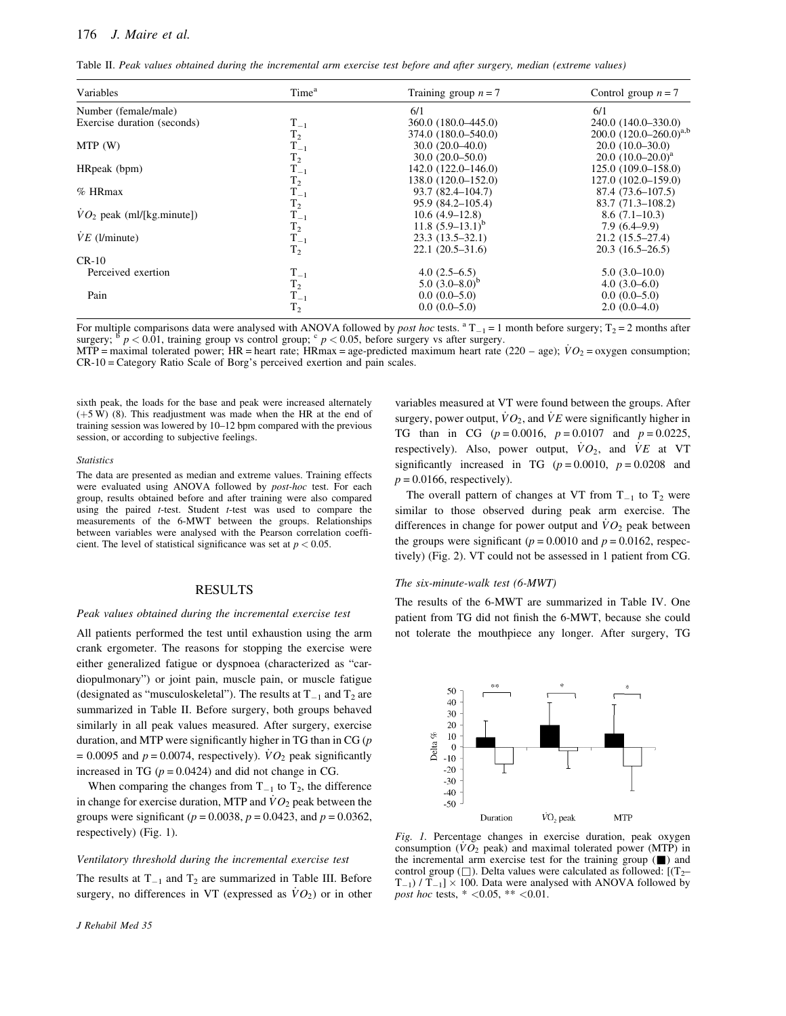Table II. *Peak values obtained during the incremental arm exercise test before and after surgery, median (extreme values)*

| Variables                               | Time <sup>a</sup> | Training group $n = 7$ | Control group $n = 7$       |
|-----------------------------------------|-------------------|------------------------|-----------------------------|
| Number (female/male)                    |                   | 6/1                    | 6/1                         |
| Exercise duration (seconds)             | $T_{-1}$          | 360.0 (180.0–445.0)    | 240.0 (140.0–330.0)         |
|                                         | T <sub>2</sub>    | 374.0 (180.0–540.0)    | 200.0 $(120.0-260.0)^{a,b}$ |
| MTP(W)                                  | $T_{-1}$          | $30.0(20.0-40.0)$      | $20.0(10.0-30.0)$           |
|                                         | $\rm T_2$         | $30.0(20.0 - 50.0)$    | $20.0 (10.0 - 20.0)^a$      |
| HRpeak (bpm)                            | $T_{-1}$          | $142.0(122.0-146.0)$   | 125.0 (109.0–158.0)         |
|                                         | T <sub>2</sub>    | 138.0 (120.0–152.0)    | 127.0 (102.0-159.0)         |
| $%$ HRmax                               | $T_{-1}$          | 93.7 (82.4–104.7)      | $87.4(73.6 - 107.5)$        |
|                                         | T <sub>2</sub>    | $95.9(84.2 - 105.4)$   | $83.7(71.3-108.2)$          |
| $\overline{V}O_2$ peak (ml/[kg.minute]) | $T_{-1}$          | $10.6(4.9-12.8)$       | $8.6(7.1-10.3)$             |
|                                         | T <sub>2</sub>    | 11.8 $(5.9-13.1)^b$    | $7.9(6.4-9.9)$              |
| $VE$ (l/minute)                         | $T_{-1}$          | $23.3(13.5-32.1)$      | $21.2(15.5 - 27.4)$         |
|                                         | T <sub>2</sub>    | $22.1(20.5-31.6)$      | $20.3(16.5-26.5)$           |
| $CR-10$                                 |                   |                        |                             |
| Perceived exertion                      | $T_{-1}$          | $4.0(2.5-6.5)$         | $5.0(3.0-10.0)$             |
|                                         | $T_2$             | 5.0 $(3.0-8.0)^b$      | $4.0(3.0-6.0)$              |
| Pain                                    | $T_{-1}$          | $0.0(0.0-5.0)$         | $0.0(0.0-5.0)$              |
|                                         | T <sub>2</sub>    | $0.0(0.0-5.0)$         | $2.0(0.0-4.0)$              |

For multiple comparisons data were analysed with ANOVA followed by *post hoc* tests.  ${}^{a}T_{-1} = 1$  month before surgery;  $T_2 = 2$  months after surgery;  $\frac{b}{p}$   $\lt$  0.01, training group vs control group;  $\frac{c}{p}$   $\lt$  0.05, before surgery vs after surgery.

MTP = maximal tolerated power; HR = heart rate; HRmax = age-predicted maximum heart rate (220 – age);  $\dot{V}O_2$  = oxygen consumption; CR-10 = Category Ratio Scale of Borg's perceived exertion and pain scales.

sixth peak, the loads for the base and peak were increased alternately  $(+5 W)$  (8). This readjustment was made when the HR at the end of training session was lowered by 10–12 bpm compared with the previous session, or according to subjective feelings.

#### *Statistics*

The data are presented as median and extreme values. Training effects were evaluated using ANOVA followed by *post-hoc* test. For each group, results obtained before and after training were also compared using the paired *t*-test. Student *t*-test was used to compare the measurements of the 6-MWT between the groups. Relationships between variables were analysed with the Pearson correlation coefficient. The level of statistical significance was set at  $p < 0.05$ .

# RESULTS

# *Peak values obtained during the incremental exercise test*

All patients performed the test until exhaustion using the arm crank ergometer. The reasons for stopping the exercise were either generalized fatigue or dyspnoea (characterized as "cardiopulmonary") or joint pain, muscle pain, or muscle fatigue (designated as "musculoskeletal"). The results at  $T_{-1}$  and  $T_2$  are summarized in Table II. Before surgery, both groups behaved similarly in all peak values measured. After surgery, exercise duration, and MTP were significantly higher in TG than in CG (*p*  $= 0.0095$  and  $p = 0.0074$ , respectively).  $\dot{V}O_2$  peak significantly increased in TG  $(p = 0.0424)$  and did not change in CG.

When comparing the changes from  $T_{-1}$  to  $T_2$ , the difference in change for exercise duration, MTP and  $\dot{V}O_2$  peak between the groups were significant ( $p = 0.0038$ ,  $p = 0.0423$ , and  $p = 0.0362$ , respectively) (Fig. 1).

# *Ventilatory threshold during the incremental exercise test*

The results at  $T_{-1}$  and  $T_2$  are summarized in Table III. Before surgery, no differences in VT (expressed as  $\dot{V}O_2$ ) or in other

variables measured at VT were found between the groups. After surgery, power output,  $\dot{V}O_2$ , and  $\dot{V}E$  were significantly higher in TG than in CG ( $p = 0.0016$ ,  $p = 0.0107$  and  $p = 0.0225$ , respectively). Also, power output,  $\dot{V}O_2$ , and  $\dot{V}E$  at VT significantly increased in TG  $(p = 0.0010, p = 0.0208$  and  $p = 0.0166$ , respectively).

The overall pattern of changes at VT from  $T_{-1}$  to  $T_2$  were similar to those observed during peak arm exercise. The differences in change for power output and  $\dot{V}O_2$  peak between the groups were significant ( $p = 0.0010$  and  $p = 0.0162$ , respectively) (Fig. 2). VT could not be assessed in 1 patient from CG.

# *The six-minute-walk test (6-MWT)*

The results of the 6-MWT are summarized in Table IV. One patient from TG did not finish the 6-MWT, because she could not tolerate the mouthpiece any longer. After surgery, TG



*Fig. 1.* Percentage changes in exercise duration, peak oxygen consumption  $(VO_2$  peak) and maximal tolerated power (MTP) in the incremental arm exercise test for the training group  $(\blacksquare)$  and control group ( $\square$ ). Delta values were calculated as followed:  $[(T_2 T_{-1}$  /  $T_{-1}$   $\times$  100. Data were analysed with ANOVA followed by *post hoc* tests,  $* < 0.05$ ,  $** < 0.01$ .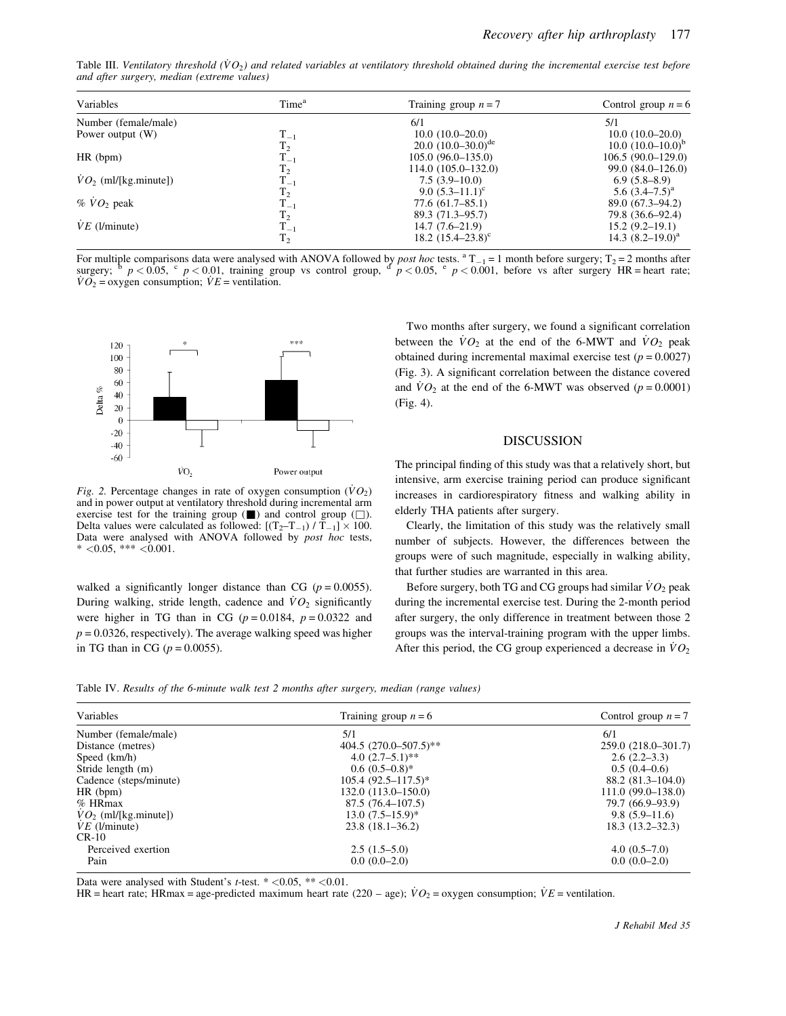Table III. Ventilatory threshold  $(\dot{V}O_2)$  and related variables at ventilatory threshold obtained during the incremental exercise test before *and after surgery, median (extreme values)*

| Variables              | Time <sup>a</sup> | Training group $n = 7$  | Control group $n = 6$  |
|------------------------|-------------------|-------------------------|------------------------|
| Number (female/male)   |                   | 6/1                     | 5/1                    |
| Power output (W)       | $T_{-1}$          | $10.0(10.0-20.0)$       | $10.0(10.0-20.0)$      |
|                        | T <sub>2</sub>    | 20.0 $(10.0-30.0)^{de}$ | $10.0 (10.0 - 10.0)^b$ |
| HR (bpm)               | $\rm T_{-1}$      | $105.0(96.0-135.0)$     | $106.5(90.0-129.0)$    |
|                        | $\rm T_2$         | 114.0 (105.0–132.0)     | $99.0(84.0-126.0)$     |
| $VO2$ (ml/[kg.minute]) | $\rm T_{-1}$      | $7.5(3.9-10.0)$         | $6.9(5.8-8.9)$         |
|                        | $T_2$             | 9.0 $(5.3-11.1)^c$      | 5.6 $(3.4-7.5)^{a}$    |
| $% \dot{V}O_2$ peak    | $\rm T_{-1}$      | $77.6(61.7 - 85.1)$     | $89.0(67.3 - 94.2)$    |
|                        | $T_2$             | 89.3 (71.3–95.7)        | 79.8 (36.6–92.4)       |
| $VE$ (l/minute)        | $T_{-1}$          | $14.7(7.6-21.9)$        | $15.2(9.2-19.1)$       |
|                        | $T_2$             | 18.2 $(15.4-23.8)^c$    | 14.3 $(8.2 - 19.0)^a$  |

For multiple comparisons data were analysed with ANOVA followed by *post hoc* tests.  ${}^{a}T_{-1} = 1$  month before surgery;  $T_2 = 2$  months after surgery;  ${}^{b} p < 0.05$ ,  ${}^{c} p < 0.01$ , training group vs control group,  ${}^{d}$  $VO<sub>2</sub> = oxygen consumption; *VE* = ventilation.$ 



*Fig.* 2. Percentage changes in rate of oxygen consumption  $(\bar{V}O_2)$ and in power output at ventilatory threshold during incremental arm exercise test for the training group  $(\blacksquare)$  and control group  $(\square)$ . Delta values were calculated as followed:  $[(T_2-T_{-1})/T_{-1}] \times 100$ . Data were analysed with ANOVA followed by *post hoc* tests,  $* < 0.05, ** < 0.001.$ 

walked a significantly longer distance than CG  $(p = 0.0055)$ . During walking, stride length, cadence and  $\dot{V}O_2$  significantly were higher in TG than in CG ( $p = 0.0184$ ,  $p = 0.0322$  and  $p = 0.0326$ , respectively). The average walking speed was higher in TG than in CG ( $p = 0.0055$ ).

Two months after surgery, we found a significant correlation between the  $\dot{V}O_2$  at the end of the 6-MWT and  $\dot{V}O_2$  peak obtained during incremental maximal exercise test  $(p = 0.0027)$ (Fig. 3). A significant correlation between the distance covered and  $\dot{V}O_2$  at the end of the 6-MWT was observed ( $p = 0.0001$ ) (Fig. 4).

# DISCUSSION

The principal finding of this study was that a relatively short, but intensive, arm exercise training period can produce significant increases in cardiorespiratory fitness and walking ability in elderly THA patients after surgery.

Clearly, the limitation of this study was the relatively small number of subjects. However, the differences between the groups were of such magnitude, especially in walking ability, that further studies are warranted in this area.

Before surgery, both TG and CG groups had similar  $\dot{V}O_2$  peak during the incremental exercise test. During the 2-month period after surgery, the only difference in treatment between those 2 groups was the interval-training program with the upper limbs. After this period, the CG group experienced a decrease in  $\dot{V}O_2$ 

Table IV. *Results of the 6-minute walk test 2 months after surgery, median (range values)*

| Variables              | Training group $n = 6$     | Control group $n = 7$ |  |
|------------------------|----------------------------|-----------------------|--|
| Number (female/male)   | 5/1                        | 6/1                   |  |
| Distance (metres)      | 404.5 $(270.0 - 507.5)$ ** | 259.0 (218.0-301.7)   |  |
| Speed (km/h)           | 4.0 $(2.7-5.1)$ **         | $2.6(2.2-3.3)$        |  |
| Stride length (m)      | $0.6(0.5-0.8)$ *           | $0.5(0.4-0.6)$        |  |
| Cadence (steps/minute) | $105.4 (92.5 - 117.5)^*$   | $88.2(81.3-104.0)$    |  |
| HR (bpm)               | 132.0 (113.0–150.0)        | $111.0(99.0-138.0)$   |  |
| $%$ HRmax              | 87.5(76.4–107.5)           | 79.7 (66.9–93.9)      |  |
| $VO2$ (ml/[kg.minute]) | $13.0(7.5-15.9)$ *         | $9.8(5.9-11.6)$       |  |
| $VE$ (l/minute)        | $23.8(18.1-36.2)$          | $18.3(13.2 - 32.3)$   |  |
| $CR-10$                |                            |                       |  |
| Perceived exertion     | $2.5(1.5-5.0)$             | $4.0(0.5-7.0)$        |  |
| Pain                   | $0.0(0.0-2.0)$             | $0.0(0.0-2.0)$        |  |

Data were analysed with Student's  $t$ -test.  $* < 0.05$ ,  $** < 0.01$ .

HR = heart rate; HRmax = age-predicted maximum heart rate  $(220 - age)$ ;  $\dot{V}O_2$  = oxygen consumption;  $\dot{V}E$  = ventilation.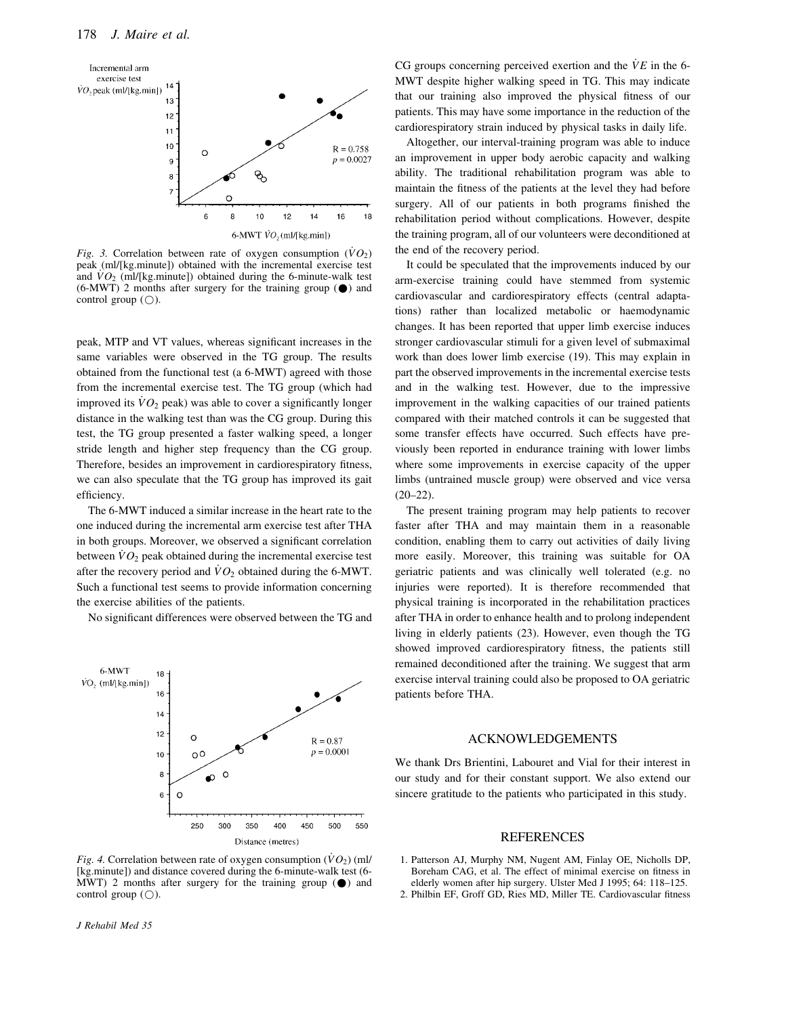

*Fig. 3.* Correlation between rate of oxygen consumption  $(\dot{V}O_2)$ peak (ml/[kg.minute]) obtained with the incremental exercise test and  $\overline{VO_2}$  (ml/[kg.minute]) obtained during the 6-minute-walk test  $(6-MWT)$  2 months after surgery for the training group  $($ <sup>o</sup>) and control group  $(O)$ .

peak, MTP and VT values, whereas significant increases in the same variables were observed in the TG group. The results obtained from the functional test (a 6-MWT) agreed with those from the incremental exercise test. The TG group (which had improved its  $\dot{V}O_2$  peak) was able to cover a significantly longer distance in the walking test than was the CG group. During this test, the TG group presented a faster walking speed, a longer stride length and higher step frequency than the CG group. Therefore, besides an improvement in cardiorespiratory fitness, we can also speculate that the TG group has improved its gait efficiency.

The 6-MWT induced a similar increase in the heart rate to the one induced during the incremental arm exercise test after THA in both groups. Moreover, we observed a significant correlation between  $\dot{V}O_2$  peak obtained during the incremental exercise test after the recovery period and  $\dot{V}O_2$  obtained during the 6-MWT. Such a functional test seems to provide information concerning the exercise abilities of the patients.

No significant differences were observed between the TG and



*Fig. 4.* Correlation between rate of oxygen consumption  $(\dot{V}O_2)$  (ml/ [kg.minute]) and distance covered during the 6-minute-walk test (6- MWT) 2 months after surgery for the training group  $(\bullet)$  and control group  $(O)$ .

*J Rehabil Med 35*

CG groups concerning perceived exertion and the  $\dot{V}E$  in the 6-MWT despite higher walking speed in TG. This may indicate that our training also improved the physical fitness of our patients. This may have some importance in the reduction of the cardiorespiratory strain induced by physical tasks in daily life.

Altogether, our interval-training program was able to induce an improvement in upper body aerobic capacity and walking ability. The traditional rehabilitation program was able to maintain the fitness of the patients at the level they had before surgery. All of our patients in both programs finished the rehabilitation period without complications. However, despite the training program, all of our volunteers were deconditioned at the end of the recovery period.

It could be speculated that the improvements induced by our arm-exercise training could have stemmed from systemic cardiovascular and cardiorespiratory effects (central adaptations) rather than localized metabolic or haemodynamic changes. It has been reported that upper limb exercise induces stronger cardiovascular stimuli for a given level of submaximal work than does lower limb exercise (19). This may explain in part the observed improvements in the incremental exercise tests and in the walking test. However, due to the impressive improvement in the walking capacities of our trained patients compared with their matched controls it can be suggested that some transfer effects have occurred. Such effects have previously been reported in endurance training with lower limbs where some improvements in exercise capacity of the upper limbs (untrained muscle group) were observed and vice versa  $(20-22)$ .

The present training program may help patients to recover faster after THA and may maintain them in a reasonable condition, enabling them to carry out activities of daily living more easily. Moreover, this training was suitable for OA geriatric patients and was clinically well tolerated (e.g. no injuries were reported). It is therefore recommended that physical training is incorporated in the rehabilitation practices after THA in order to enhance health and to prolong independent living in elderly patients (23). However, even though the TG showed improved cardiorespiratory fitness, the patients still remained deconditioned after the training. We suggest that arm exercise interval training could also be proposed to OA geriatric patients before THA.

# ACKNOWLEDGEMENTS

We thank Drs Brientini, Labouret and Vial for their interest in our study and for their constant support. We also extend our sincere gratitude to the patients who participated in this study.

# REFERENCES

- 1. Patterson AJ, Murphy NM, Nugent AM, Finlay OE, Nicholls DP, Boreham CAG, et al. The effect of minimal exercise on fitness in elderly women after hip surgery. Ulster Med J 1995; 64: 118–125.
- 2. Philbin EF, Groff GD, Ries MD, Miller TE. Cardiovascular fitness